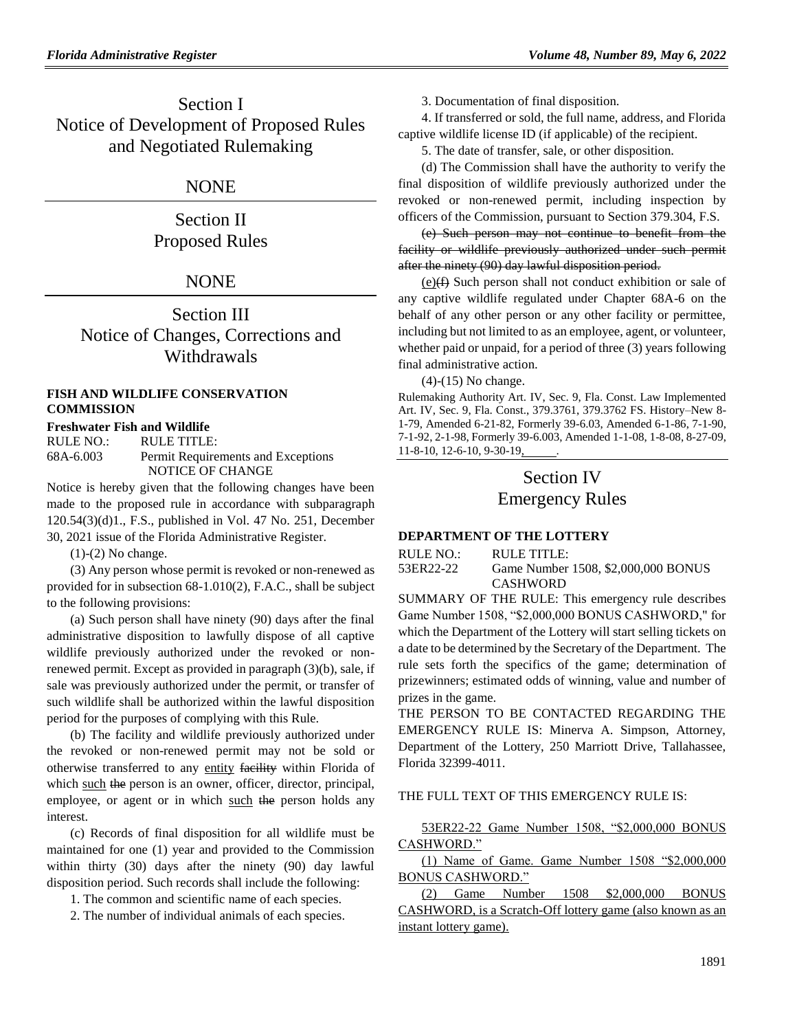Section I Notice of Development of Proposed Rules and Negotiated Rulemaking

#### NONE

## Section II Proposed Rules

## **NONE**

Section III Notice of Changes, Corrections and Withdrawals

#### **[FISH AND WILDLIFE CONSERVATION](https://www.flrules.org/gateway/department.asp?id=68)  [COMMISSION](https://www.flrules.org/gateway/department.asp?id=68)**

#### **[Freshwater Fish and Wildlife](https://www.flrules.org/gateway/organization.asp?id=347)**

RULE NO.: RULE TITLE: [68A-6.003](https://www.flrules.org/gateway/ruleNo.asp?id=68A-6.003) Permit Requirements and Exceptions NOTICE OF CHANGE

Notice is hereby given that the following changes have been made to the proposed rule in accordance with subparagraph 120.54(3)(d)1., F.S., published in Vol. 47 No. 251, December 30, 2021 issue of the Florida Administrative Register.

 $(1)-(2)$  No change.

(3) Any person whose permit is revoked or non-renewed as provided for in subsection 68-1.010(2), F.A.C., shall be subject to the following provisions:

(a) Such person shall have ninety (90) days after the final administrative disposition to lawfully dispose of all captive wildlife previously authorized under the revoked or nonrenewed permit. Except as provided in paragraph (3)(b), sale, if sale was previously authorized under the permit, or transfer of such wildlife shall be authorized within the lawful disposition period for the purposes of complying with this Rule.

(b) The facility and wildlife previously authorized under the revoked or non-renewed permit may not be sold or otherwise transferred to any entity facility within Florida of which such the person is an owner, officer, director, principal, employee, or agent or in which such the person holds any interest.

(c) Records of final disposition for all wildlife must be maintained for one (1) year and provided to the Commission within thirty (30) days after the ninety (90) day lawful disposition period. Such records shall include the following:

1. The common and scientific name of each species.

2. The number of individual animals of each species.

3. Documentation of final disposition.

4. If transferred or sold, the full name, address, and Florida captive wildlife license ID (if applicable) of the recipient.

5. The date of transfer, sale, or other disposition.

(d) The Commission shall have the authority to verify the final disposition of wildlife previously authorized under the revoked or non-renewed permit, including inspection by officers of the Commission, pursuant to Section 379.304, F.S.

(e) Such person may not continue to benefit from the facility or wildlife previously authorized under such permit after the ninety (90) day lawful disposition period.

 $(e)$ ( $\oplus$ ) Such person shall not conduct exhibition or sale of any captive wildlife regulated under Chapter 68A-6 on the behalf of any other person or any other facility or permittee, including but not limited to as an employee, agent, or volunteer, whether paid or unpaid, for a period of three (3) years following final administrative action.

(4)-(15) No change.

Rulemaking Authority Art. IV, Sec. 9, Fla. Const. Law Implemented Art. IV, Sec. 9, Fla. Const., 379.3761, 379.3762 FS. History–New 8- 1-79, Amended 6-21-82, Formerly 39-6.03, Amended 6-1-86, 7-1-90, 7-1-92, 2-1-98, Formerly 39-6.003, Amended 1-1-08, 1-8-08, 8-27-09, 11-8-10, 12-6-10, 9-30-19, .

# Section IV Emergency Rules

#### **DEPARTMENT OF THE LOTTERY**

| RULE NO.: | RULE TITLE:                         |
|-----------|-------------------------------------|
| 53ER22-22 | Game Number 1508, \$2,000,000 BONUS |
|           | <b>CASHWORD</b>                     |

SUMMARY OF THE RULE: This emergency rule describes Game Number 1508, "\$2,000,000 BONUS CASHWORD," for which the Department of the Lottery will start selling tickets on a date to be determined by the Secretary of the Department. The rule sets forth the specifics of the game; determination of prizewinners; estimated odds of winning, value and number of prizes in the game.

THE PERSON TO BE CONTACTED REGARDING THE EMERGENCY RULE IS: Minerva A. Simpson, Attorney, Department of the Lottery, 250 Marriott Drive, Tallahassee, Florida 32399-4011.

#### THE FULL TEXT OF THIS EMERGENCY RULE IS:

53ER22-22 Game Number 1508, "\$2,000,000 BONUS CASHWORD."

(1) Name of Game. Game Number 1508 "\$2,000,000 BONUS CASHWORD."

(2) Game Number 1508 \$2,000,000 BONUS CASHWORD, is a Scratch-Off lottery game (also known as an instant lottery game).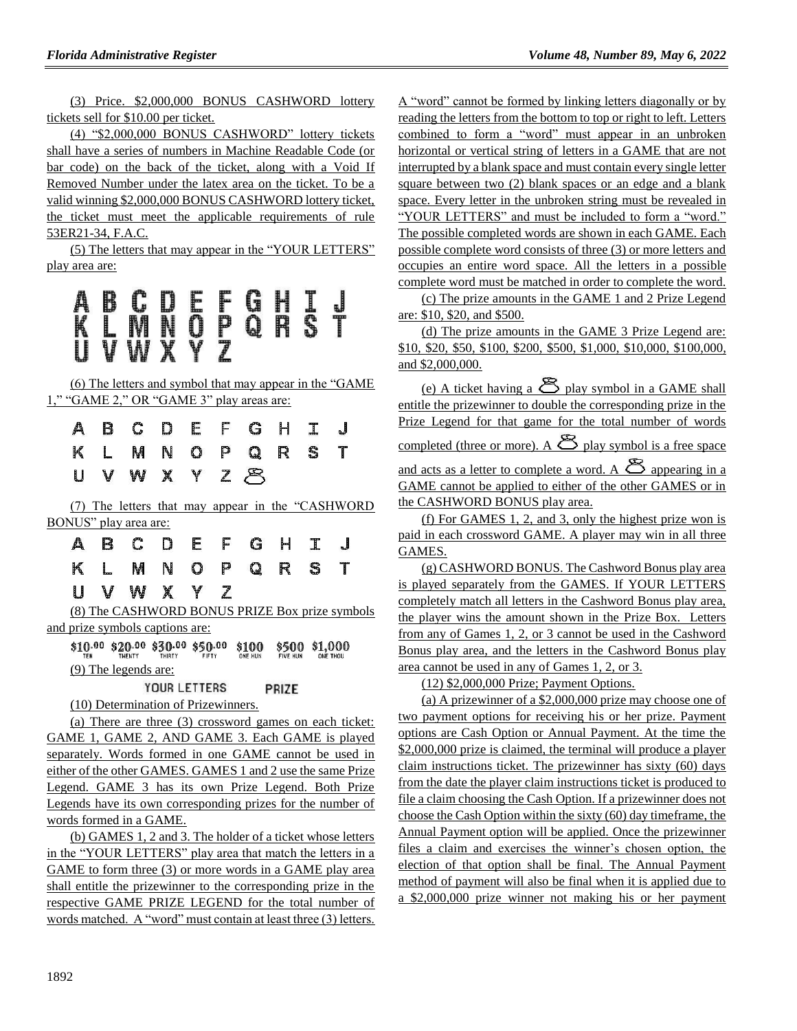(3) Price. \$2,000,000 BONUS CASHWORD lottery tickets sell for \$10.00 per ticket.

(4) "\$2,000,000 BONUS CASHWORD" lottery tickets shall have a series of numbers in Machine Readable Code (or bar code) on the back of the ticket, along with a Void If Removed Number under the latex area on the ticket. To be a valid winning \$2,000,000 BONUS CASHWORD lottery ticket, the ticket must meet the applicable requirements of rule 53ER21-34, F.A.C.

(5) The letters that may appear in the "YOUR LETTERS" play area are:

# A B C D E E Q H I<br>K L M N Q P Q R S<br>U V W X Y Z

(6) The letters and symbol that may appear in the "GAME 1," "GAME 2," OR "GAME 3" play areas are:

|  |  |  | A B C D E F G H I J |  |  |
|--|--|--|---------------------|--|--|
|  |  |  | K L M N O P Q R S T |  |  |
|  |  |  | UVWXYZ8             |  |  |

(7) The letters that may appear in the "CASHWORD BONUS" play area are:

|  | A B C D E F G H I J |  |  |  |  |
|--|---------------------|--|--|--|--|
|  | K L M N O P Q R S T |  |  |  |  |
|  | UVWXYZ              |  |  |  |  |

(8) The CASHWORD BONUS PRIZE Box prize symbols and prize symbols captions are:

\$10.00 \$20.00 \$30.00 \$50.00 \$100 \$500 \$1,000 (9) The legends are:

> YOUR LETTERS PRIZE

(10) Determination of Prizewinners.

(a) There are three (3) crossword games on each ticket: GAME 1, GAME 2, AND GAME 3. Each GAME is played separately. Words formed in one GAME cannot be used in either of the other GAMES. GAMES 1 and 2 use the same Prize Legend. GAME 3 has its own Prize Legend. Both Prize Legends have its own corresponding prizes for the number of words formed in a GAME.

(b) GAMES 1, 2 and 3. The holder of a ticket whose letters in the "YOUR LETTERS" play area that match the letters in a GAME to form three (3) or more words in a GAME play area shall entitle the prizewinner to the corresponding prize in the respective GAME PRIZE LEGEND for the total number of words matched. A "word" must contain at least three (3) letters. A "word" cannot be formed by linking letters diagonally or by reading the letters from the bottom to top or right to left. Letters combined to form a "word" must appear in an unbroken horizontal or vertical string of letters in a GAME that are not interrupted by a blank space and must contain every single letter square between two (2) blank spaces or an edge and a blank space. Every letter in the unbroken string must be revealed in "YOUR LETTERS" and must be included to form a "word." The possible completed words are shown in each GAME. Each possible complete word consists of three (3) or more letters and occupies an entire word space. All the letters in a possible complete word must be matched in order to complete the word.

(c) The prize amounts in the GAME 1 and 2 Prize Legend are: \$10, \$20, and \$500.

(d) The prize amounts in the GAME 3 Prize Legend are: \$10, \$20, \$50, \$100, \$200, \$500, \$1,000, \$10,000, \$100,000, and \$2,000,000.

(e) A ticket having a  $\mathfrak{B}$  play symbol in a GAME shall entitle the prizewinner to double the corresponding prize in the Prize Legend for that game for the total number of words completed (three or more). A  $\mathfrak{B}$  play symbol is a free space and acts as a letter to complete a word. A  $\mathfrak{B}$  appearing in a GAME cannot be applied to either of the other GAMES or in the CASHWORD BONUS play area.

(f) For GAMES 1, 2, and 3, only the highest prize won is paid in each crossword GAME. A player may win in all three GAMES.

(g) CASHWORD BONUS. The Cashword Bonus play area is played separately from the GAMES. If YOUR LETTERS completely match all letters in the Cashword Bonus play area, the player wins the amount shown in the Prize Box. Letters from any of Games 1, 2, or 3 cannot be used in the Cashword Bonus play area, and the letters in the Cashword Bonus play area cannot be used in any of Games 1, 2, or 3.

(12) \$2,000,000 Prize; Payment Options.

(a) A prizewinner of a \$2,000,000 prize may choose one of two payment options for receiving his or her prize. Payment options are Cash Option or Annual Payment. At the time the \$2,000,000 prize is claimed, the terminal will produce a player claim instructions ticket. The prizewinner has sixty (60) days from the date the player claim instructions ticket is produced to file a claim choosing the Cash Option. If a prizewinner does not choose the Cash Option within the sixty (60) day timeframe, the Annual Payment option will be applied. Once the prizewinner files a claim and exercises the winner's chosen option, the election of that option shall be final. The Annual Payment method of payment will also be final when it is applied due to a \$2,000,000 prize winner not making his or her payment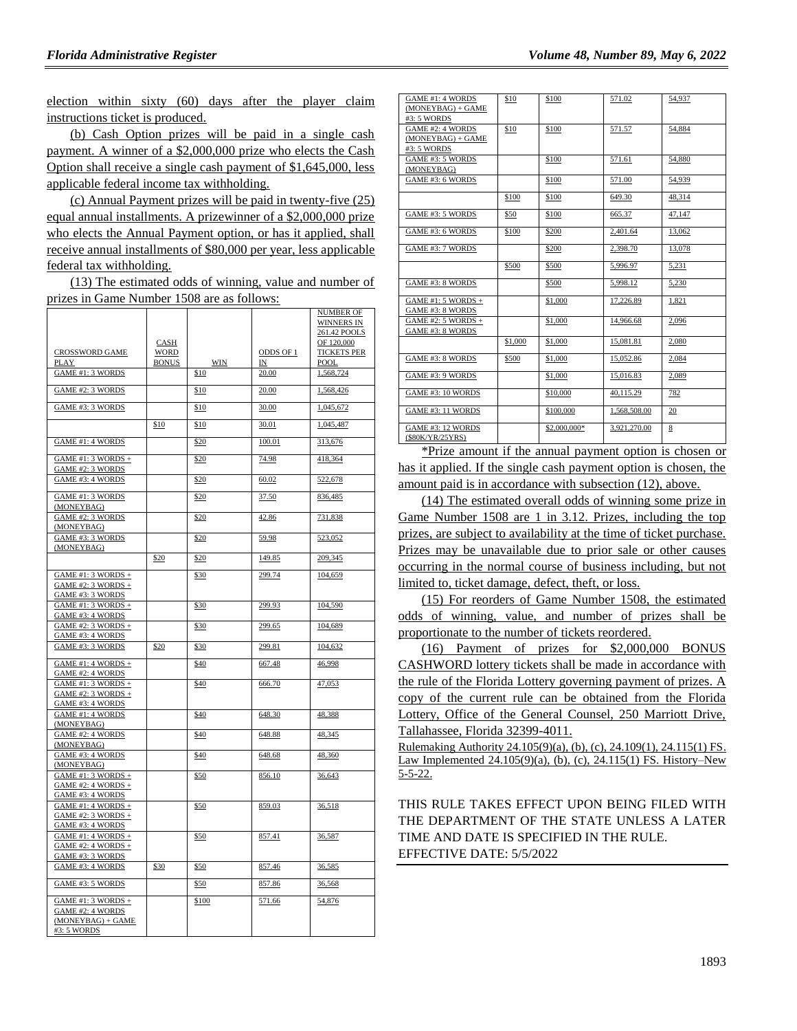election within sixty (60) days after the player claim instructions ticket is produced.

(b) Cash Option prizes will be paid in a single cash payment. A winner of a \$2,000,000 prize who elects the Cash Option shall receive a single cash payment of \$1,645,000, less applicable federal income tax withholding.

(c) Annual Payment prizes will be paid in twenty-five (25) equal annual installments. A prizewinner of a \$2,000,000 prize who elects the Annual Payment option, or has it applied, shall receive annual installments of \$80,000 per year, less applicable federal tax withholding.

(13) The estimated odds of winning, value and number of prizes in Game Number 1508 are as follows:

| CROSSWORD GAME<br>PLAY                                                         | CASH<br><b>WORD</b><br><b>BONUS</b> | WIN   | ODDS OF 1<br>IN | NUMBER OF<br><b>WINNERS IN</b><br>261.42 POOLS<br>OF 120,000<br><b>TICKETS PER</b><br>POOL |
|--------------------------------------------------------------------------------|-------------------------------------|-------|-----------------|--------------------------------------------------------------------------------------------|
| <b>GAME #1: 3 WORDS</b>                                                        |                                     | \$10  | 20.00           | 1,568,724                                                                                  |
| GAME #2: 3 WORDS                                                               |                                     | \$10  | 20.00           | 1,568,426                                                                                  |
| GAME #3: 3 WORDS                                                               |                                     | \$10  | 30.00           | 1,045,672                                                                                  |
|                                                                                | \$10                                | \$10  | 30.01           | 1,045,487                                                                                  |
| <b>GAME #1: 4 WORDS</b>                                                        |                                     | \$20  | 100.01          | 313,676                                                                                    |
| GAME #1: 3 WORDS +<br><b>GAME #2: 3 WORDS</b>                                  |                                     | \$20  | 74.98           | 418,364                                                                                    |
| GAME #3: 4 WORDS                                                               |                                     | \$20  | 60.02           | 522,678                                                                                    |
| <b>GAME #1: 3 WORDS</b><br>(MONEYBAG)                                          |                                     | \$20  | 37.50           | 836,485                                                                                    |
| GAME #2: 3 WORDS<br>(MONEYBAG)                                                 |                                     | \$20  | 42.86           | 731,838                                                                                    |
| GAME #3: 3 WORDS<br>(MONEYBAG)                                                 |                                     | \$20  | 59.98           | 523,052                                                                                    |
|                                                                                | \$20                                | \$20  | 149.85          | 209,345                                                                                    |
| GAME #1: 3 WORDS +<br>GAME #2: 3 WORDS +<br>GAME #3: 3 WORDS                   |                                     | \$30  | 299.74          | 104,659                                                                                    |
| GAME #1: 3 WORDS +<br>GAME #3: 4 WORDS                                         |                                     | \$30  | 299.93          | 104,590                                                                                    |
| GAME #2: 3 WORDS +<br><b>GAME #3: 4 WORDS</b>                                  |                                     | \$30  | 299.65          | 104,689                                                                                    |
| GAME #3: 3 WORDS                                                               | \$20                                | \$30  | 299.81          | 104,632                                                                                    |
| GAME #1: 4 WORDS +<br><b>GAME #2: 4 WORDS</b>                                  |                                     | \$40  | 667.48          | 46,998                                                                                     |
| GAME #1: 3 WORDS +<br>GAME #2: 3 WORDS +<br><b>GAME #3: 4 WORDS</b>            |                                     | \$40  | 666.70          | 47,053                                                                                     |
| <b>GAME #1: 4 WORDS</b><br>(MONEYBAG)                                          |                                     | \$40  | 648.30          | 48,388                                                                                     |
| GAME #2: 4 WORDS<br>(MONEYBAG)                                                 |                                     | \$40  | 648.88          | 48,345                                                                                     |
| GAME #3: 4 WORDS<br>(MONEYBAG)                                                 |                                     | \$40  | 648.68          | 48,360                                                                                     |
| GAME #1: 3 WORDS +<br>$GAME #2: 4 WORDS +$<br>GAME #3: 4 WORDS                 |                                     | \$50  | 856.10          | 36,643                                                                                     |
| GAME #1: 4 WORDS +<br>GAME #2: 3 WORDS +<br>GAME #3: 4 WORDS                   |                                     | \$50  | 859.03          | 36,518                                                                                     |
| GAME #1: 4 WORDS +<br>GAME #2: 4 WORDS +<br>GAME #3: 3 WORDS                   |                                     | \$50  | 857.41          | 36,587                                                                                     |
| <b>GAME #3: 4 WORDS</b>                                                        | \$30                                | \$50  | 857.46          | 36,585                                                                                     |
| GAME #3: 5 WORDS                                                               |                                     | \$50  | 857.86          | 36,568                                                                                     |
| $GAME #1: 3 WORDS +$<br>GAME #2: 4 WORDS<br>$(MONEYBAG) + GAME$<br>#3: 5 WORDS |                                     | \$100 | 571.66          | 54,876                                                                                     |

| GAME #1: 4 WORDS<br>$(MONEYBAG) + GAME$<br>#3: 5 WORDS | \$10    | \$100        | 571.02       | 54,937 |
|--------------------------------------------------------|---------|--------------|--------------|--------|
| GAME #2: 4 WORDS<br>$(MONEYBAG) + GAME$<br>#3: 5 WORDS | \$10    | \$100        | 571.57       | 54.884 |
| GAME #3: 5 WORDS<br>(MONEYBAG)                         |         | \$100        | 571.61       | 54.880 |
| GAME #3: 6 WORDS                                       |         | \$100        | 571.00       | 54.939 |
|                                                        | \$100   | \$100        | 649.30       | 48.314 |
| GAME #3: 5 WORDS                                       | \$50    | \$100        | 665.37       | 47,147 |
| GAME #3: 6 WORDS                                       | \$100   | \$200        | 2.401.64     | 13,062 |
| GAME #3: 7 WORDS                                       |         | \$200        | 2,398.70     | 13,078 |
|                                                        | \$500   | \$500        | 5,996.97     | 5,231  |
| GAME #3: 8 WORDS                                       |         | \$500        | 5.998.12     | 5.230  |
| GAME #1: 5 WORDS +<br>GAME #3: 8 WORDS                 |         | \$1,000      | 17,226.89    | 1,821  |
| GAME #2: 5 WORDS +<br>GAME #3: 8 WORDS                 |         | \$1,000      | 14,966.68    | 2,096  |
|                                                        | \$1,000 | \$1,000      | 15.081.81    | 2.080  |
| GAME #3: 8 WORDS                                       | \$500   | \$1,000      | 15.052.86    | 2.084  |
| GAME #3: 9 WORDS                                       |         | \$1,000      | 15,016.83    | 2,089  |
| GAME #3: 10 WORDS                                      |         | \$10,000     | 40,115.29    | 782    |
| GAME #3: 11 WORDS                                      |         | \$100,000    | 1,568,508.00 | 20     |
| GAME #3: 12 WORDS<br>(\$80K/YR/25YRS)                  |         | \$2,000,000* | 3,921,270.00 | 8      |

\*Prize amount if the annual payment option is chosen or has it applied. If the single cash payment option is chosen, the amount paid is in accordance with subsection (12), above.

(14) The estimated overall odds of winning some prize in Game Number 1508 are 1 in 3.12. Prizes, including the top prizes, are subject to availability at the time of ticket purchase. Prizes may be unavailable due to prior sale or other causes occurring in the normal course of business including, but not limited to, ticket damage, defect, theft, or loss.

(15) For reorders of Game Number 1508, the estimated odds of winning, value, and number of prizes shall be proportionate to the number of tickets reordered.

(16) Payment of prizes for \$2,000,000 BONUS CASHWORD lottery tickets shall be made in accordance with the rule of the Florida Lottery governing payment of prizes. A copy of the current rule can be obtained from the Florida Lottery, Office of the General Counsel, 250 Marriott Drive, Tallahassee, Florida 32399-4011.

Rulemaking Authority 24.105(9)(a), (b), (c), 24.109(1), 24.115(1) FS. Law Implemented 24.105(9)(a), (b), (c), 24.115(1) FS. History–New  $5 - 5 - 22$ .

#### THIS RULE TAKES EFFECT UPON BEING FILED WITH THE DEPARTMENT OF THE STATE UNLESS A LATER TIME AND DATE IS SPECIFIED IN THE RULE. EFFECTIVE DATE: 5/5/2022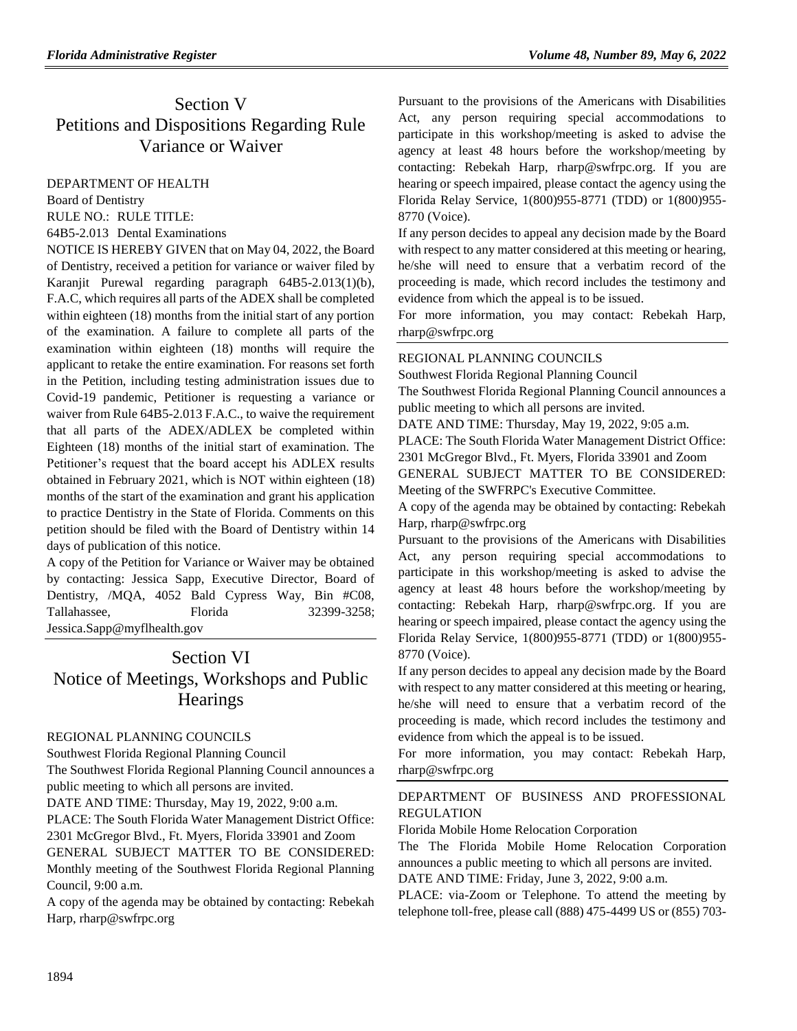# Section V Petitions and Dispositions Regarding Rule Variance or Waiver

[DEPARTMENT OF HEALTH](https://www.flrules.org/gateway/department.asp?id=64)

[Board of Dentistry](https://www.flrules.org/gateway/organization.asp?id=328)

RULE NO.: RULE TITLE:

[64B5-2.013](https://www.flrules.org/gateway/ruleNo.asp?id=64B5-2.013) Dental Examinations

NOTICE IS HEREBY GIVEN that on May 04, 2022, the Board of Dentistry, received a petition for variance or waiver filed by Karanjit Purewal regarding paragraph 64B5-2.013(1)(b), F.A.C, which requires all parts of the ADEX shall be completed within eighteen (18) months from the initial start of any portion of the examination. A failure to complete all parts of the examination within eighteen (18) months will require the applicant to retake the entire examination. For reasons set forth in the Petition, including testing administration issues due to Covid-19 pandemic, Petitioner is requesting a variance or waiver from Rule 64B5-2.013 F.A.C., to waive the requirement that all parts of the ADEX/ADLEX be completed within Eighteen (18) months of the initial start of examination. The Petitioner's request that the board accept his ADLEX results obtained in February 2021, which is NOT within eighteen (18) months of the start of the examination and grant his application to practice Dentistry in the State of Florida. Comments on this petition should be filed with the Board of Dentistry within 14 days of publication of this notice.

A copy of the Petition for Variance or Waiver may be obtained by contacting: Jessica Sapp, Executive Director, Board of Dentistry, /MQA, 4052 Bald Cypress Way, Bin #C08, Tallahassee. Florida 32399-3258; Jessica.Sapp@myflhealth.gov

# Section VI Notice of Meetings, Workshops and Public **Hearings**

#### [REGIONAL PLANNING COUNCILS](https://www.flrules.org/gateway/department.asp?id=29)

[Southwest Florida Regional Planning Council](https://www.flrules.org/gateway/organization.asp?id=65)

The Southwest Florida Regional Planning Council announces a public meeting to which all persons are invited.

DATE AND TIME: Thursday, May 19, 2022, 9:00 a.m.

PLACE: The South Florida Water Management District Office: 2301 McGregor Blvd., Ft. Myers, Florida 33901 and Zoom GENERAL SUBJECT MATTER TO BE CONSIDERED:

Monthly meeting of the Southwest Florida Regional Planning Council, 9:00 a.m.

A copy of the agenda may be obtained by contacting: Rebekah Harp, rharp@swfrpc.org

Pursuant to the provisions of the Americans with Disabilities Act, any person requiring special accommodations to participate in this workshop/meeting is asked to advise the agency at least 48 hours before the workshop/meeting by contacting: Rebekah Harp, rharp@swfrpc.org. If you are hearing or speech impaired, please contact the agency using the Florida Relay Service, 1(800)955-8771 (TDD) or 1(800)955- 8770 (Voice).

If any person decides to appeal any decision made by the Board with respect to any matter considered at this meeting or hearing, he/she will need to ensure that a verbatim record of the proceeding is made, which record includes the testimony and evidence from which the appeal is to be issued.

For more information, you may contact: Rebekah Harp, rharp@swfrpc.org

#### [REGIONAL PLANNING COUNCILS](https://www.flrules.org/gateway/department.asp?id=29)

[Southwest Florida Regional Planning Council](https://www.flrules.org/gateway/organization.asp?id=65)

The Southwest Florida Regional Planning Council announces a public meeting to which all persons are invited.

DATE AND TIME: Thursday, May 19, 2022, 9:05 a.m.

PLACE: The South Florida Water Management District Office: 2301 McGregor Blvd., Ft. Myers, Florida 33901 and Zoom GENERAL SUBJECT MATTER TO BE CONSIDERED: Meeting of the SWFRPC's Executive Committee.

A copy of the agenda may be obtained by contacting: Rebekah Harp, rharp@swfrpc.org

Pursuant to the provisions of the Americans with Disabilities Act, any person requiring special accommodations to participate in this workshop/meeting is asked to advise the agency at least 48 hours before the workshop/meeting by contacting: Rebekah Harp, rharp@swfrpc.org. If you are hearing or speech impaired, please contact the agency using the Florida Relay Service, 1(800)955-8771 (TDD) or 1(800)955- 8770 (Voice).

If any person decides to appeal any decision made by the Board with respect to any matter considered at this meeting or hearing, he/she will need to ensure that a verbatim record of the proceeding is made, which record includes the testimony and evidence from which the appeal is to be issued.

For more information, you may contact: Rebekah Harp, rharp@swfrpc.org

#### [DEPARTMENT OF BUSINESS AND PROFESSIONAL](https://www.flrules.org/gateway/department.asp?id=61)  [REGULATION](https://www.flrules.org/gateway/department.asp?id=61)

[Florida Mobile Home Relocation Corporation](https://www.flrules.org/gateway/organization.asp?id=505)

The The Florida Mobile Home Relocation Corporation announces a public meeting to which all persons are invited.

DATE AND TIME: Friday, June 3, 2022, 9:00 a.m.

PLACE: via-Zoom or Telephone. To attend the meeting by telephone toll-free, please call (888) 475-4499 US or (855) 703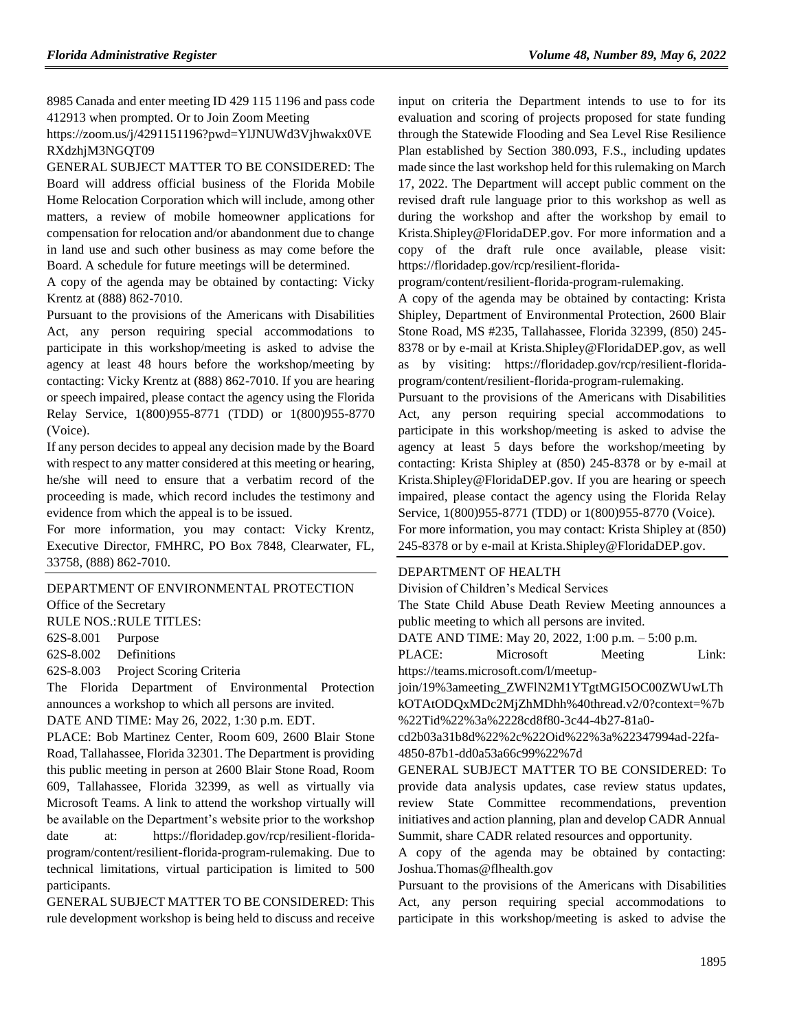8985 Canada and enter meeting ID 429 115 1196 and pass code 412913 when prompted. Or to Join Zoom Meeting

https://zoom.us/j/4291151196?pwd=YlJNUWd3Vjhwakx0VE RXdzhjM3NGQT09

GENERAL SUBJECT MATTER TO BE CONSIDERED: The Board will address official business of the Florida Mobile Home Relocation Corporation which will include, among other matters, a review of mobile homeowner applications for compensation for relocation and/or abandonment due to change in land use and such other business as may come before the Board. A schedule for future meetings will be determined.

A copy of the agenda may be obtained by contacting: Vicky Krentz at (888) 862-7010.

Pursuant to the provisions of the Americans with Disabilities Act, any person requiring special accommodations to participate in this workshop/meeting is asked to advise the agency at least 48 hours before the workshop/meeting by contacting: Vicky Krentz at (888) 862-7010. If you are hearing or speech impaired, please contact the agency using the Florida Relay Service, 1(800)955-8771 (TDD) or 1(800)955-8770 (Voice).

If any person decides to appeal any decision made by the Board with respect to any matter considered at this meeting or hearing, he/she will need to ensure that a verbatim record of the proceeding is made, which record includes the testimony and evidence from which the appeal is to be issued.

For more information, you may contact: Vicky Krentz, Executive Director, FMHRC, PO Box 7848, Clearwater, FL, 33758, (888) 862-7010.

[DEPARTMENT OF ENVIRONMENTAL PROTECTION](https://www.flrules.org/gateway/department.asp?id=62) [Office of the Secretary](https://www.flrules.org/gateway/organization.asp?id=294)

RULE NOS.:RULE TITLES:

[62S-8.001](https://www.flrules.org/gateway/ruleNo.asp?id=62S-8.001) Purpose

[62S-8.002](https://www.flrules.org/gateway/ruleNo.asp?id=62S-8.002) Definitions

[62S-8.003](https://www.flrules.org/gateway/ruleNo.asp?id=62S-8.003) Project Scoring Criteria

The Florida Department of Environmental Protection announces a workshop to which all persons are invited.

DATE AND TIME: May 26, 2022, 1:30 p.m. EDT.

PLACE: Bob Martinez Center, Room 609, 2600 Blair Stone Road, Tallahassee, Florida 32301. The Department is providing this public meeting in person at 2600 Blair Stone Road, Room 609, Tallahassee, Florida 32399, as well as virtually via Microsoft Teams. A link to attend the workshop virtually will be available on the Department's website prior to the workshop date at: https://floridadep.gov/rcp/resilient-floridaprogram/content/resilient-florida-program-rulemaking. Due to technical limitations, virtual participation is limited to 500 participants.

GENERAL SUBJECT MATTER TO BE CONSIDERED: This rule development workshop is being held to discuss and receive

input on criteria the Department intends to use to for its evaluation and scoring of projects proposed for state funding through the Statewide Flooding and Sea Level Rise Resilience Plan established by Section 380.093, F.S., including updates made since the last workshop held for this rulemaking on March 17, 2022. The Department will accept public comment on the revised draft rule language prior to this workshop as well as during the workshop and after the workshop by email to Krista.Shipley@FloridaDEP.gov. For more information and a copy of the draft rule once available, please visit: https://floridadep.gov/rcp/resilient-florida-

program/content/resilient-florida-program-rulemaking.

A copy of the agenda may be obtained by contacting: Krista Shipley, Department of Environmental Protection, 2600 Blair Stone Road, MS #235, Tallahassee, Florida 32399, (850) 245- 8378 or by e-mail at Krista.Shipley@FloridaDEP.gov, as well as by visiting: https://floridadep.gov/rcp/resilient-floridaprogram/content/resilient-florida-program-rulemaking.

Pursuant to the provisions of the Americans with Disabilities Act, any person requiring special accommodations to participate in this workshop/meeting is asked to advise the agency at least 5 days before the workshop/meeting by contacting: Krista Shipley at (850) 245-8378 or by e-mail at Krista.Shipley@FloridaDEP.gov. If you are hearing or speech impaired, please contact the agency using the Florida Relay Service, 1(800)955-8771 (TDD) or 1(800)955-8770 (Voice). For more information, you may contact: Krista Shipley at (850) 245-8378 or by e-mail at Krista.Shipley@FloridaDEP.gov.

#### [DEPARTMENT OF HEALTH](https://www.flrules.org/gateway/department.asp?id=64)

[Division of Children's Medical Services](https://www.flrules.org/gateway/organization.asp?id=333)

The State Child Abuse Death Review Meeting announces a public meeting to which all persons are invited.

DATE AND TIME: May 20, 2022, 1:00 p.m. – 5:00 p.m.

PLACE: Microsoft Meeting Link: https://teams.microsoft.com/l/meetup-

join/19%3ameeting\_ZWFlN2M1YTgtMGI5OC00ZWUwLTh kOTAtODQxMDc2MjZhMDhh%40thread.v2/0?context=%7b %22Tid%22%3a%2228cd8f80-3c44-4b27-81a0-

cd2b03a31b8d%22%2c%22Oid%22%3a%22347994ad-22fa-4850-87b1-dd0a53a66c99%22%7d

GENERAL SUBJECT MATTER TO BE CONSIDERED: To provide data analysis updates, case review status updates, review State Committee recommendations, prevention initiatives and action planning, plan and develop CADR Annual Summit, share CADR related resources and opportunity.

A copy of the agenda may be obtained by contacting: Joshua.Thomas@flhealth.gov

Pursuant to the provisions of the Americans with Disabilities Act, any person requiring special accommodations to participate in this workshop/meeting is asked to advise the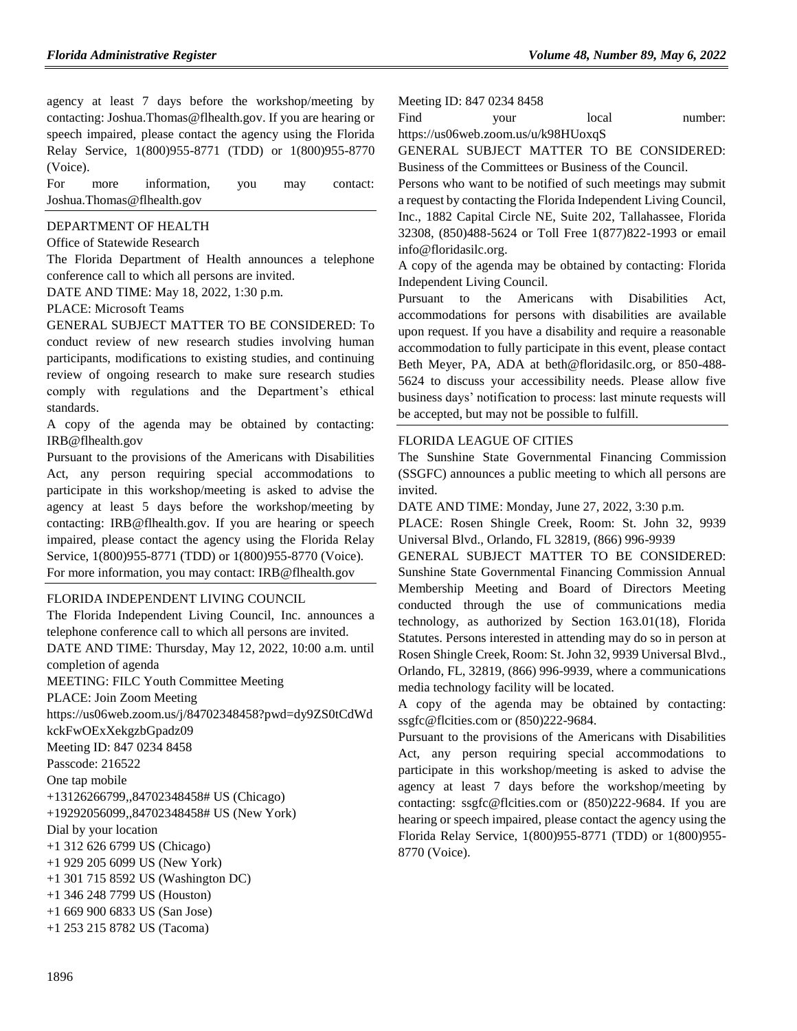agency at least 7 days before the workshop/meeting by contacting: Joshua.Thomas@flhealth.gov. If you are hearing or speech impaired, please contact the agency using the Florida Relay Service, 1(800)955-8771 (TDD) or 1(800)955-8770 (Voice).

For more information, you may contact: Joshua.Thomas@flhealth.gov

#### [DEPARTMENT OF HEALTH](https://www.flrules.org/gateway/department.asp?id=64)

[Office of Statewide Research](https://www.flrules.org/gateway/organization.asp?id=338)

The Florida Department of Health announces a telephone conference call to which all persons are invited.

DATE AND TIME: May 18, 2022, 1:30 p.m.

#### PLACE: Microsoft Teams

GENERAL SUBJECT MATTER TO BE CONSIDERED: To conduct review of new research studies involving human participants, modifications to existing studies, and continuing review of ongoing research to make sure research studies comply with regulations and the Department's ethical standards.

A copy of the agenda may be obtained by contacting: IRB@flhealth.gov

Pursuant to the provisions of the Americans with Disabilities Act, any person requiring special accommodations to participate in this workshop/meeting is asked to advise the agency at least 5 days before the workshop/meeting by contacting: IRB@flhealth.gov. If you are hearing or speech impaired, please contact the agency using the Florida Relay Service, 1(800)955-8771 (TDD) or 1(800)955-8770 (Voice). For more information, you may contact: IRB@flhealth.gov

#### [FLORIDA INDEPENDENT LIVING COUNCIL](https://www.flrules.org/gateway/organization.asp?id=616)

The Florida Independent Living Council, Inc. announces a telephone conference call to which all persons are invited. DATE AND TIME: Thursday, May 12, 2022, 10:00 a.m. until completion of agenda MEETING: FILC Youth Committee Meeting PLACE: Join Zoom Meeting https://us06web.zoom.us/j/84702348458?pwd=dy9ZS0tCdWd kckFwOExXekgzbGpadz09 Meeting ID: 847 0234 8458 Passcode: 216522 One tap mobile +13126266799,,84702348458# US (Chicago) +19292056099,,84702348458# US (New York) Dial by your location +1 312 626 6799 US (Chicago) +1 929 205 6099 US (New York) +1 301 715 8592 US (Washington DC) +1 346 248 7799 US (Houston) +1 669 900 6833 US (San Jose) +1 253 215 8782 US (Tacoma)

Meeting ID: 847 0234 8458

Find your local number:

https://us06web.zoom.us/u/k98HUoxqS

GENERAL SUBJECT MATTER TO BE CONSIDERED: Business of the Committees or Business of the Council.

Persons who want to be notified of such meetings may submit a request by contacting the Florida Independent Living Council, Inc., 1882 Capital Circle NE, Suite 202, Tallahassee, Florida 32308, (850)488-5624 or Toll Free 1(877)822-1993 or email info@floridasilc.org.

A copy of the agenda may be obtained by contacting: Florida Independent Living Council.

Pursuant to the Americans with Disabilities Act, accommodations for persons with disabilities are available upon request. If you have a disability and require a reasonable accommodation to fully participate in this event, please contact Beth Meyer, PA, ADA at beth@floridasilc.org, or 850-488- 5624 to discuss your accessibility needs. Please allow five business days' notification to process: last minute requests will be accepted, but may not be possible to fulfill.

#### [FLORIDA LEAGUE OF CITIES](https://www.flrules.org/gateway/organization.asp?id=670)

The Sunshine State Governmental Financing Commission (SSGFC) announces a public meeting to which all persons are invited.

DATE AND TIME: Monday, June 27, 2022, 3:30 p.m.

PLACE: Rosen Shingle Creek, Room: St. John 32, 9939 Universal Blvd., Orlando, FL 32819, (866) 996-9939

GENERAL SUBJECT MATTER TO BE CONSIDERED: Sunshine State Governmental Financing Commission Annual Membership Meeting and Board of Directors Meeting conducted through the use of communications media technology, as authorized by Section 163.01(18), Florida Statutes. Persons interested in attending may do so in person at Rosen Shingle Creek, Room: St. John 32, 9939 Universal Blvd., Orlando, FL, 32819, (866) 996-9939, where a communications media technology facility will be located.

A copy of the agenda may be obtained by contacting: ssgfc@flcities.com or (850)222-9684.

Pursuant to the provisions of the Americans with Disabilities Act, any person requiring special accommodations to participate in this workshop/meeting is asked to advise the agency at least 7 days before the workshop/meeting by contacting: ssgfc@flcities.com or (850)222-9684. If you are hearing or speech impaired, please contact the agency using the Florida Relay Service, 1(800)955-8771 (TDD) or 1(800)955- 8770 (Voice).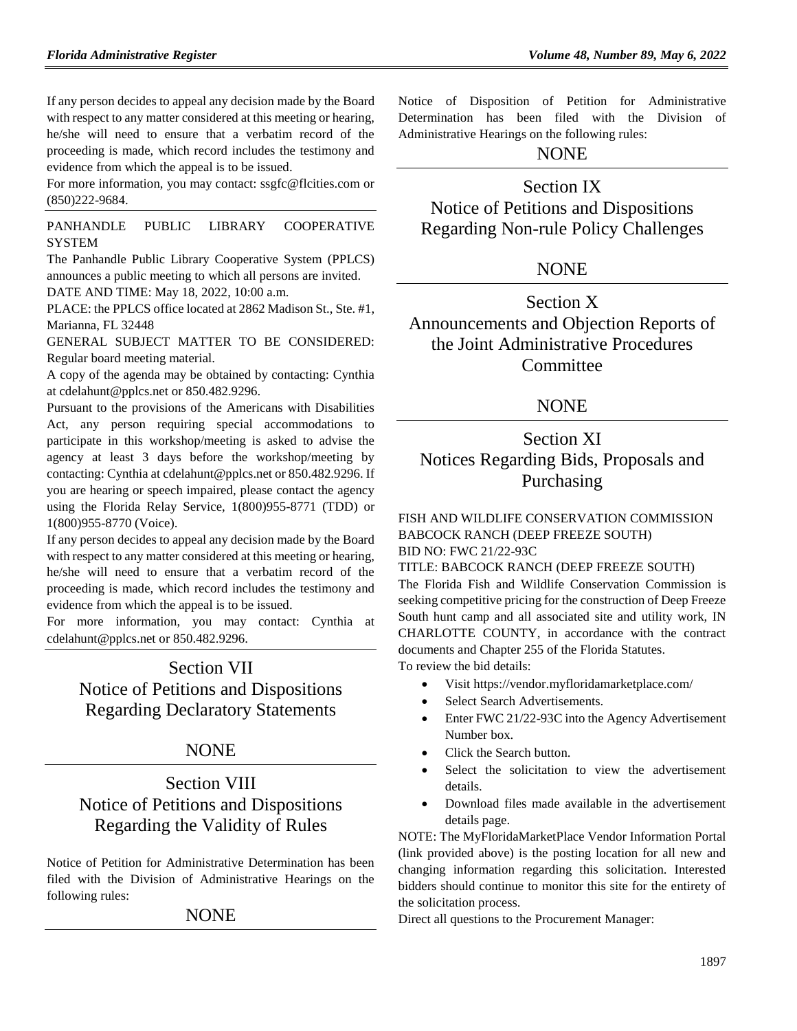If any person decides to appeal any decision made by the Board with respect to any matter considered at this meeting or hearing, he/she will need to ensure that a verbatim record of the proceeding is made, which record includes the testimony and evidence from which the appeal is to be issued.

For more information, you may contact: ssgfc@flcities.com or (850)222-9684.

[PANHANDLE PUBLIC LIBRARY COOPERATIVE](https://www.flrules.org/gateway/organization.asp?id=1317)  **[SYSTEM](https://www.flrules.org/gateway/organization.asp?id=1317)** 

The Panhandle Public Library Cooperative System (PPLCS) announces a public meeting to which all persons are invited. DATE AND TIME: May 18, 2022, 10:00 a.m.

PLACE: the PPLCS office located at 2862 Madison St., Ste. #1, Marianna, FL 32448

GENERAL SUBJECT MATTER TO BE CONSIDERED: Regular board meeting material.

A copy of the agenda may be obtained by contacting: Cynthia at cdelahunt@pplcs.net or 850.482.9296.

Pursuant to the provisions of the Americans with Disabilities Act, any person requiring special accommodations to participate in this workshop/meeting is asked to advise the agency at least 3 days before the workshop/meeting by contacting: Cynthia at cdelahunt@pplcs.net or 850.482.9296. If you are hearing or speech impaired, please contact the agency using the Florida Relay Service, 1(800)955-8771 (TDD) or 1(800)955-8770 (Voice).

If any person decides to appeal any decision made by the Board with respect to any matter considered at this meeting or hearing, he/she will need to ensure that a verbatim record of the proceeding is made, which record includes the testimony and evidence from which the appeal is to be issued.

For more information, you may contact: Cynthia at cdelahunt@pplcs.net or 850.482.9296.

# Section VII Notice of Petitions and Dispositions Regarding Declaratory Statements

## NONE

# Section VIII Notice of Petitions and Dispositions Regarding the Validity of Rules

Notice of Petition for Administrative Determination has been filed with the Division of Administrative Hearings on the following rules:

#### NONE

Notice of Disposition of Petition for Administrative Determination has been filed with the Division of Administrative Hearings on the following rules:

### NONE

## Section IX

Notice of Petitions and Dispositions Regarding Non-rule Policy Challenges

## NONE

Section X Announcements and Objection Reports of the Joint Administrative Procedures **Committee** 

## NONE

# Section XI Notices Regarding Bids, Proposals and Purchasing

[FISH AND WILDLIFE CONSERVATION COMMISSION](https://www.flrules.org/gateway/department.asp?id=68) BABCOCK RANCH (DEEP FREEZE SOUTH) BID NO: FWC 21/22-93C

#### TITLE: BABCOCK RANCH (DEEP FREEZE SOUTH)

The Florida Fish and Wildlife Conservation Commission is seeking competitive pricing for the construction of Deep Freeze South hunt camp and all associated site and utility work, IN CHARLOTTE COUNTY, in accordance with the contract documents and Chapter 255 of the Florida Statutes. To review the bid details:

Visit<https://vendor.myfloridamarketplace.com/>

- Select Search Advertisements.
- Enter FWC 21/22-93C into the Agency Advertisement Number box.
- Click the Search button.
- Select the solicitation to view the advertisement details.
- Download files made available in the advertisement details page.

NOTE: The MyFloridaMarketPlace Vendor Information Portal (link provided above) is the posting location for all new and changing information regarding this solicitation. Interested bidders should continue to monitor this site for the entirety of the solicitation process.

Direct all questions to the Procurement Manager: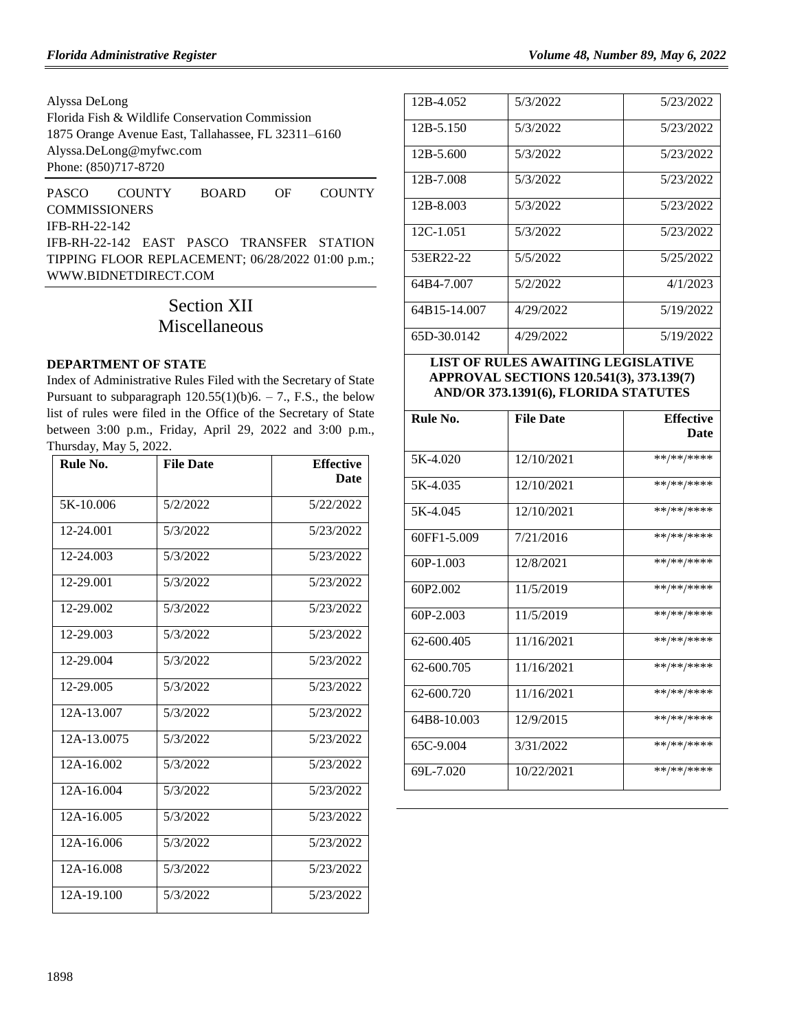Alyssa DeLong

Florida Fish & Wildlife Conservation Commission 1875 Orange Avenue East, Tallahassee, FL 32311–6160 [Alyssa.DeLong@myfwc.com](mailto:Alyssa.DeLong@myfwc.com) Phone: (850)717-8720

[PASCO COUNTY BOARD OF COUNTY](https://www.flrules.org/gateway/organization.asp?id=1352)  [COMMISSIONERS](https://www.flrules.org/gateway/organization.asp?id=1352) IFB-RH-22-142 IFB-RH-22-142 EAST PASCO TRANSFER STATION TIPPING FLOOR REPLACEMENT; 06/28/2022 01:00 p.m.; [WWW.BIDNETDIRECT.COM](http://www.bidnetdirect.com/)

# Section XII Miscellaneous

#### **[DEPARTMENT OF STATE](https://www.flrules.org/gateway/department.asp?id=1)**

Index of Administrative Rules Filed with the Secretary of State Pursuant to subparagraph  $120.55(1)(b)6. - 7$ ., F.S., the below list of rules were filed in the Office of the Secretary of State between 3:00 p.m., Friday, April 29, 2022 and 3:00 p.m., Thursday, May 5, 2022.

| Rule No.    | <b>File Date</b> | <b>Effective</b><br><b>Date</b> |
|-------------|------------------|---------------------------------|
| 5K-10.006   | 5/2/2022         | 5/22/2022                       |
| 12-24.001   | 5/3/2022         | 5/23/2022                       |
| 12-24.003   | 5/3/2022         | 5/23/2022                       |
| 12-29.001   | 5/3/2022         | 5/23/2022                       |
| 12-29.002   | 5/3/2022         | 5/23/2022                       |
| 12-29.003   | 5/3/2022         | 5/23/2022                       |
| 12-29.004   | 5/3/2022         | 5/23/2022                       |
| 12-29.005   | 5/3/2022         | 5/23/2022                       |
| 12A-13.007  | 5/3/2022         | 5/23/2022                       |
| 12A-13.0075 | 5/3/2022         | 5/23/2022                       |
| 12A-16.002  | 5/3/2022         | 5/23/2022                       |
| 12A-16.004  | 5/3/2022         | 5/23/2022                       |
| 12A-16.005  | 5/3/2022         | 5/23/2022                       |
| 12A-16.006  | 5/3/2022         | 5/23/2022                       |
| 12A-16.008  | 5/3/2022         | 5/23/2022                       |
| 12A-19.100  | 5/3/2022         | 5/23/2022                       |

| 12B-4.052    | 5/3/2022  | 5/23/2022 |
|--------------|-----------|-----------|
| 12B-5.150    | 5/3/2022  | 5/23/2022 |
| 12B-5.600    | 5/3/2022  | 5/23/2022 |
| 12B-7.008    | 5/3/2022  | 5/23/2022 |
| 12B-8.003    | 5/3/2022  | 5/23/2022 |
| 12C-1.051    | 5/3/2022  | 5/23/2022 |
| 53ER22-22    | 5/5/2022  | 5/25/2022 |
| 64B4-7.007   | 5/2/2022  | 4/1/2023  |
| 64B15-14.007 | 4/29/2022 | 5/19/2022 |
| 65D-30.0142  | 4/29/2022 | 5/19/2022 |
|              |           |           |

**LIST OF RULES AWAITING LEGISLATIVE APPROVAL SECTIONS 120.541(3), 373.139(7) AND/OR 373.1391(6), FLORIDA STATUTES**

| Rule No.      | <b>File Date</b> | <b>Effective</b><br>Date |
|---------------|------------------|--------------------------|
|               |                  |                          |
| 5K-4.020      | 12/10/2021       | **/**/****               |
| 5K-4.035      | 12/10/2021       | **/**/****               |
| 5K-4.045      | 12/10/2021       | **/**/****               |
| 60FF1-5.009   | 7/21/2016        | **/**/****               |
| $60P-1.003$   | 12/8/2021        | **/**/****               |
| 60P2.002      | 11/5/2019        | **/**/****               |
| $60P - 2.003$ | 11/5/2019        | **/**/****               |
| 62-600.405    | 11/16/2021       | **/**/****               |
| 62-600.705    | 11/16/2021       | **/**/****               |
| 62-600.720    | 11/16/2021       | **/**/****               |
| 64B8-10.003   | 12/9/2015        | **/**/****               |
| 65C-9.004     | 3/31/2022        | **/**/****               |
| 69L-7.020     | 10/22/2021       | **/**/****               |